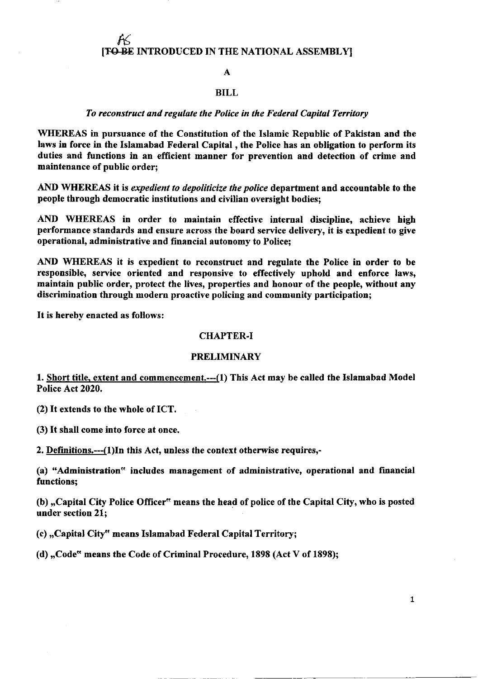# $\pmb{\mathcal{K}}$ [TO BE INTRODUCED IN THE NATIONAL ASSEMBLY]

#### A

### BILL

### To reconstruct and regulate the Police in the Federal Capital Territory

WIIEREAS in pursuance of the Constitution of the Islamic Republic of Pakistan and the Iaws in force in the Islamabad Federal Capital , the Police has an obligation to perform its duties and functions in an efficient manner for prevention and detection of crime and maintenance of public order;

AND WHEREAS it is expedient to depoliticize the police department and accountable to the people through democratic institutions and civilian oversight bodies;

AND WHEREAS in order to maintain effective internal discipline, achieve high performance standards and ensure across the board service delivery, it is expedient to give operational, administrative and financial autonomy to Police;

AND WHEREAS it is expedient to reconstruct and regulate the Police in order to be responsible, service oriented and responsive to effectively uphold and enforce laws, maintain public order, protect the lives, properties and honour of the people, without any discrimination through modern proactive policing and community participation;

It is hereby enacted as follows:

# CHAPTER.I

#### **PRELIMINARY**

1. Short title. extent and commencement.---(1) This Act may be called the Islamabad Model Police Act 2020.

(2) It extends to the whole of ICT.

(3) It shall come into force at once.

2. Definitions.--(l)In this Act, unless the context otberwise requires,-

(a) {'Administration" includes management of administrative, operational and financial functions;

(b) ,,Capital City Police Officer" means the head of police of the Capital City, who is posted under section 21;

(c) ,,Capital City" means Islamabad Federal Capital Territory;

(d) ,,Code" means the Code of Criminal Procedure, 1898 (Act V of 1898);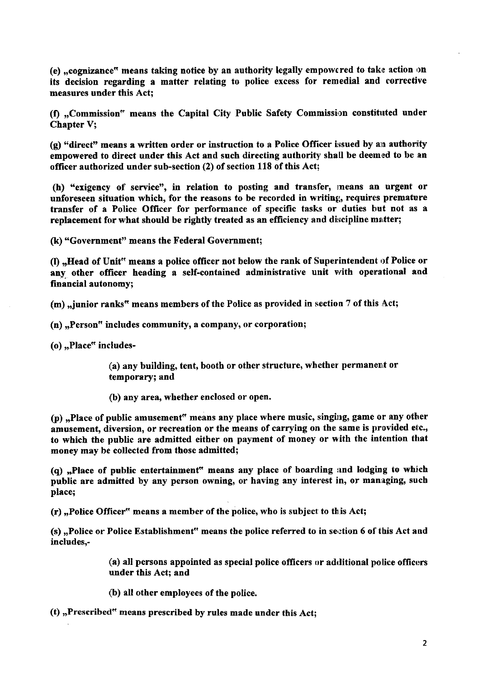(e) "cognizance<sup>\*</sup> means taking notice by an authority legally empowered to take action on its decision regarding a matter relating to police excess for remedial and corrective measures under this Act;

(f) "Commission" means the Capital City Public Safety Commission constituted under Chapter V;

 $(g)$  "direct" means a written order or instruction to a Police Officer issued by an authority empowered to direct under this Act and such directing authority shall be deemed to be an officer authorized under sub-section (2) of section 118 of this Act;

(h) "exigency of service", in relation to posting and transfer, means an urgent or unforeseen situation which, for the reasons to be recorded in writing, requires premature transfer of a Police Officer for performance of specific tasks or duties but not as <sup>a</sup> replacement for what should be rightly treated as an efficiency and discipline matter;

(k) "Government" means the Federal Government;

(I)  $n$ , Head of Unit" means a police officer not below the rank of Superintendent of Police or any other officer heading a self-contained administrative unit with operational and financial autonomy;

(m), junior ranks" means members of the Police as provided in section 7 of this Act;

- $(n)$ , Person<sup> $n$ </sup> includes community, a company, or corporation;
- $(o)$ , Place" includes-

(a) any building, tent, booth or other structure, whether permanent or temporary; and

(b) any area, whether enclosed or open.

(p) ,Place of public amusement" means any place where music, singing, game or any other amusement, diversion, or recreation or the means of carrying on the same is provided etc., to which the pubtic are admitted either on payment of money or with the intention that money may be collected from those admitted;

(q)  $n$ -Place of public entertainment<sup>\*\*</sup> means any place of boarding and lodging to which public are admitted by any person owning, or having any interest in, or managing, such place;

 $(r)$ , Police Officer" means a member of the police, who is subject to this Act;

(s), Police or Police Establishment" means the police referred to in section 6 of this Act and includes,-

> $\alpha$ ) all persons appointed as special police officers or additional police officers under this Act; and

- (b) all other employees of the police.
- (t) "Prescribed" means prescribed by rules made under this Act;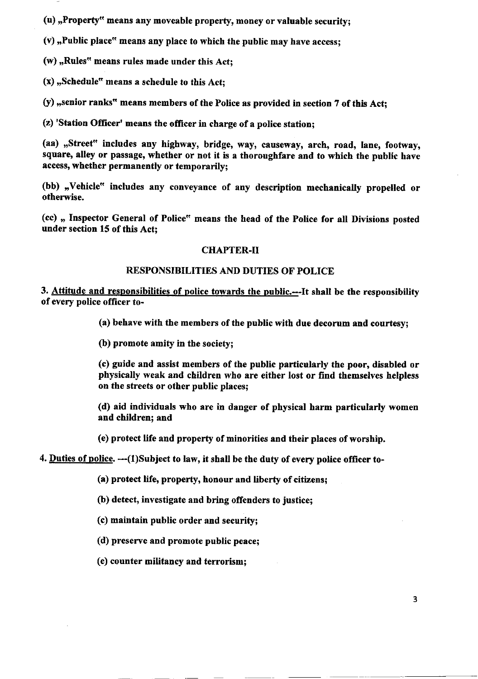$(u)$ , Property<sup>x</sup> means any moveable property, money or valuable security;

(v) "Public place" means any place to which the public may have access;<br>

(w) ,,Rules" means rules made under this Act;

(x) ,,Schedule" means a schedule to this Act;

(y)  $n$ , senior ranks" means members of the Police as provided in section 7 of this Act;

(z) 'Station Officer' means the officer in charge of a police station;

(aa) ,,Street" includes any highway, bridge, way, causeway, arch, road, Iane, footway, square, alley or passage, whether or not it is a thoroughfare and to which the public have access, whether permanently or temporarily;

(bb) "Vehicle" includes any conveyance of any description mechanically propelled or otherwise.

(cc) ,, Inspector General of Police" means the head of the Poliee for all Divisions posted under section 15 of this Act;

# CHAPTER-II

# RESPONSIBILITIES AND DUTIES OF POLICE

3. Attitude and responsibilities of police towards the public.----It shall be the responsibility of every police officer to-

(a) behave with the members of the public with due decorum and courtesy;

(b) promote amity in the society;

(c) guide and assist members of the public particulerly the poor, disabled or physically weak and children who are either lost or find themselves helpless on the streets or other public places;

(d) aid individuals who are in danger of physical harm particularly women and children; and

(e) protect life and property of minorities and their places of worship,

4. Duties of police. --- (1) Subject to law, it shall be the duty of every police officer to-

(a) protect life, property, honour and liberty of citizens;

(b) detect, investigate and bring offenders to justice;

(c) maintain public order and security;

(d) preserve and promote public peace;

(e) counter militancy and terrorism;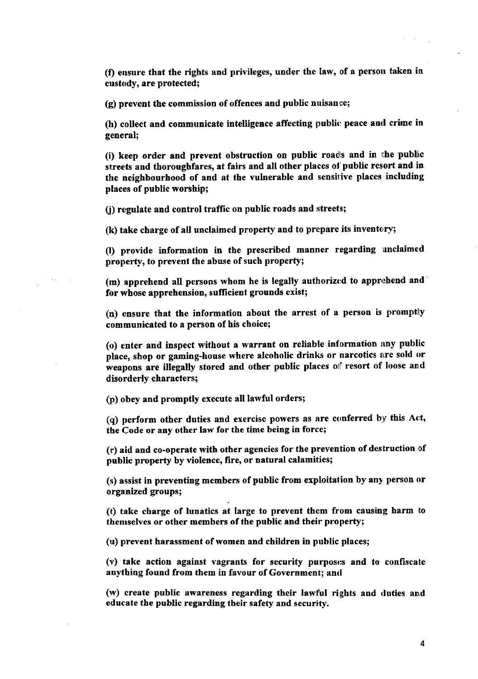(f) ensure that the rights and privileges, under the law, of a person taken in custody, are protected;

 $(q)$  prevent the commission of offences and public nuisance;

(h) collect and communicate intelligence affecting public peace and crime in general;

(i) keep order and prevent obstruction on public roads and in the public srreets and thoroughfares, at fairs and all other places ot'public resort and in the neighbourhood of and at the vulnerable and sensitive places including places of public worship;

() regulate and control traffrc on public roads and streets;

 $(k)$  take charge of all unclaimed property and to prepare its inventory;

Q) provide information in the prescribed manner regarding unclaimed propertv, to prevent the abuse of such property;

(m) apprehend all persons whom he is legally authorized to apprehend and for whose apprehension, sufficient grounds exist;

(n) ensure that the information about the arrest of a person is promptly communicated to a person of his choice;

(o) enter and inspect without a warrant on reliable information any public place, shop or gaming-house where alcoholic drinks or narcotics are sold or weapons are illegally stored and other public places of resort of loose and disorderly characters;

(p) obey and promptly execute all lawful orders;

 $(q)$  perform other duties and exercise powers as are conferred by this Act, the Code or any other law for the time being in force;

 $(r)$  aid and co-operate with other agencies for the prevention of destruction of public property by violence, fire, or natural calamifies;

(s) assist in preventing members of public from exploitalion by any person or organized groups;

(t) take charge of lunatics at large to prevent them from causing harm to thenrselves or other members of the public and their property;

(u) prevent harassment of women and children in public places;

 $(v)$  take action against vagrants for security purposes and to confiscate anything found from them in favour of Government; and

(w) create public awareness regarding their lawful rights and duties and educate the public regarding their safety and security.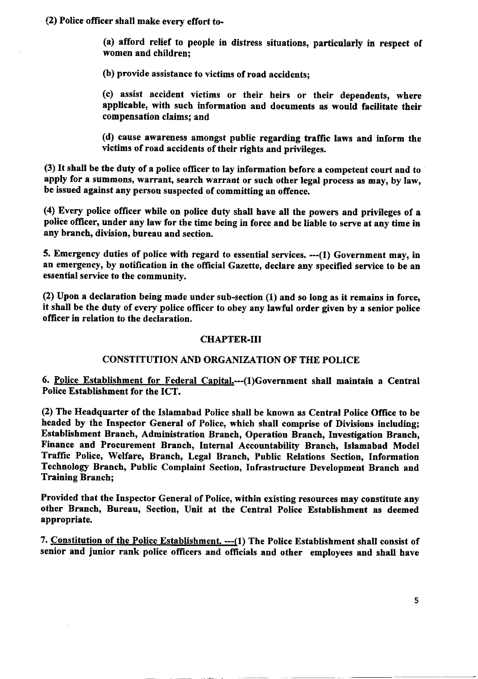(2) Police ofricer shall make every effort to-

(a) afford relief to people in distress situations, particularly in respect of women and children;

(b) provide assistance to victims of road accidents;

(c) assist accident victims or their heirs or their dependents, where applicable, with such information and documents as would facilitate their compensation claims; and

(d) cause awareness amongst public regarding traffic laws and inforn the victims of road accidents of their rights and privileges.

(3) It shall be the dufy of a police officer to lay information before a competent court and to apply for a summons, warrant, search warrant or such other legal process as may, by law, be issued against any person suspected of committing an offence,

(4) Every police officer while on police duty shall have all the powers and privileges of a police oflicer, under any law for the time being in force and be liable to serve at any time in any branch, division, bureau and section.

5, Emergency duties of police with regard to essential services. --(1) Government may, in an emergency, by notification in the official Gazette, declare any specified service to be an essential service to the community.

(2) Upon a declaration being made under sub-section (1) and so long as it remains in force, it shall be the duty of every police officer to obey any lawful order given by a senior police officer in relation to the declaration.

### CIIAPTER.III

# CONSTITUTION AND ORGANIZATION OF THE POLICE

6. Police Establishment for Federal Capital.---(1)Government shall maintain a Central Police Establishment for the ICT.

(2) The Headquarter of the Islamabad Police shall be known as Central Police Office to be headed by the Inspector General of Police, which shall comprise of Divisions including; Establishment Branch, Administration Branch, Operation Branch, Investigation Branch, Finance and Procurement Branch, Internal Accountability Branch, Islamabad Model Traffic Police, Welfare, Branch, Legal Branch, Public Relations Section, Information Technology Branch, Public Complaint Section, Infrastructure Development Branch and Training Branch;

Provided that the Inspector General of Policg, within existing resources may constitute any other Branch, Bureau, Section, Unit at the Central Police Establishment as deemed appropriate.

7. Constitution of the Police Establishment. --- (1) The Police Establishment shall consist of senior and junior rank police officers and officials and other employees and shall have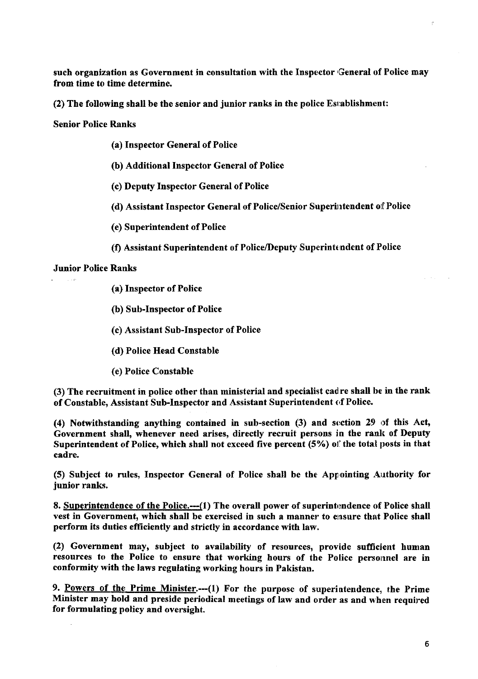such organization as Government in consultation with the Inspector General of Police may from time to time determine.

 $(2)$  The following shall be the senior and junior ranks in the police Establishment:

Senior Police Ranks

- (a) Inspector General of Police
- (b) Additional Inspector General of Police
- (c) Deputy Inspector General of Police
- (d) Assistant Inspector General of Police/Senior Superintendent of Police
- (e) Superintendent of Police
- (f) Assistant Superintendent of Police/Deputy Superintendent of Police

# Junior Police Ranks

- (a) Inspector of Police
- (b) Sub-Inspector of Police
- (c) Assistant Sub-Inspector of Police
- (d) Police Head Constable
- (e) Police Constable

(3) The recruitment in police other than ministerial and specialist cadre shall be in the rank of Constable, Assistant Sub-Inspector and Assistant Superintendent of Police.

(4) Notwithstanding anything contained in sub-section  $(3)$  and section 29 of this Act, Government shall, whenever need arises, directly recruit persons in the rank of Deputy Superintendent of Police, which shall not exceed five percent (5%) of the total posts in that cadre.

(5) Subject to rules, Inspector General of Police shall be the Appointing Authority for junior ranks.

8. Superintendence of the Police.---(1) The overall power of superintendence of Police shall vest in Government, which shall be exercised in such a manner to easure that Police shall perform its duties efficiently and strictly in accordance with law.

(2) Government may, subject to availability of resources, provide sufficient human resources to the Police to ensure that working hours of the Police personnel are in conformity with the laws regulating working hours in Pakistan.

9. Powers of the Prime Minister.---(1) For the purpose of superintendence, the Prime Minister may hold and preside periodical meetings of law and order as and when required for formulating policy and oversight.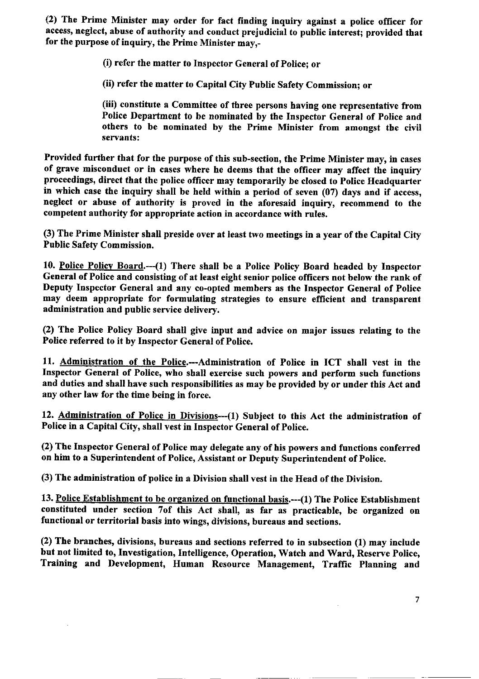(2) The Prime Minister may order for fact finding inquiry against a police officer for access, neglect, abuse of authority and conduct prejudicial to public interest; provided that for the purpose of inquiry, the Prime Minister may,-

(i) refer the matter to Inspector General of Police; or

(ii) refer the matter to Capital City Public Safety Commission; or

(iii) constitute a Committee of three persons having one representative from Police Department to be nominated by the Inspector General of Police and others to be nominated by the Prime Minister from amongst the civil servants:

Provided further that for the purpose of this sub-section, the Prime Minister may, in cases of grave misconduct or in cases where he deems that the officer may affect the inquiry proceedings, direct that the police officer may temporarily be closed to Police Headquarter in which case the inquiry shall be held within a period of seven (07) days and if access, neglect or abuse of authority is proved in the aforesaid inquiry, recommend to the competent authority for appropriate action in accordance with rules.

(3) The Prime Minister shall preside over at least two meetings in a year of the Capital City Public Safety Commission.

10. Police Policv Board.--(l) There shall be a Police Policy Board headed by Inspector General of Police and consisting of at least eight senior police officers not below the rank of Deputy Inspector General and any co-opted members as the Inspector General of Police may deem appropriate for formulating strategies to ensure efficient and transparent administration and public service delivery,

(2) The Police Policy Board shall give input and advice on major issues relating to the Police referred to it by Inspector General of Police,

11. Administration of the Police.--Adninistration of Police in ICT shall vest in the Inspector General of Police, who shall exercise such powers and perform such functions and duties and shall have such responsibilities as may be provided by or under this Act and any other law for the time being in force.

12. Administration of Police in Divisions--(1) Subject to this Act the administration of Police in a Capital City, shall vest in Inspector General of Police.

(2) The Inspector General of Police may delegate any of his powers and functions conferred on him to a Superintendent of Police, Assistant or Deputy Superintendent of Police.

(3) The administration of police in a Division shall vest in the Head of the Division.

13. Police Establishment to be organized on functional basis.——(1) The Police Establishment constituted under section 7of this Act shall, as far as practicable, be organized on functional or territorial basis into wings, divisions, bureaus and sections.

(2) The branches, divisions, bureaus and sections referred to in subsection (1) may include but not limited to, Investigation, Intelligence, Operation, Watch and Ward, Reserve Police, Training and Development, Human Resource Management, Traffic Planning and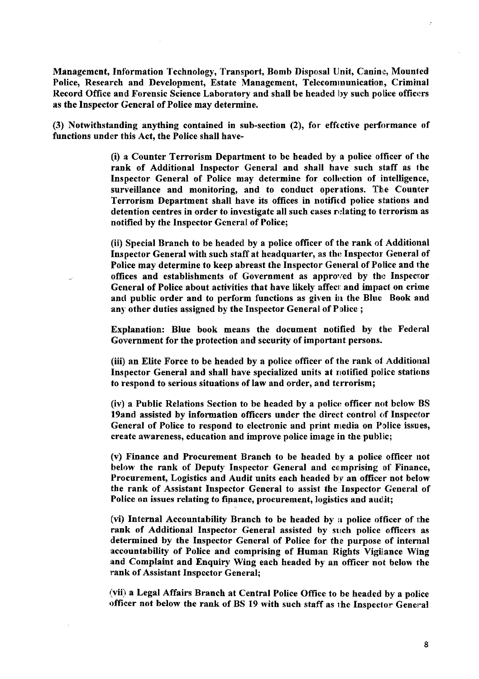Management, Information Technology, Transport, Bomb Disposal Unit, Canine, Mounted Police, Research and Development, Estate Management, Telecomrnunicatior, Criminal Record Office and Forensic Science Laboratory and shall be headed by such police officers as the Inspector General of Police may determine.

(3) Notwithstanding anything contained in sub-section (2), for effective performance of functions under this Act, the Police shall have-

> (i) a Counter Terrorism Department to be headed by a police olficer of the rank of Additional Inspector General and shall have such staff as the Inspector General of Police may determine for collection of intelligence, surveillance and monitoring, and to conduct operations. The Counter Terrorism Department shall have its offices in notified police stations and detention centres in order to investigate all such cases relating to terrorism as notified by the Inspector General of Police;

> (ii) Special Branch to be headed by a police officer of the rank of Additional Inspector General with such staff at headquarter, as the Inspector General of Police may determine to keep abreast the Inspector General of Police and the offices and establishments of Government as approved by the Inspector General of Police about activities that have likely affect and impact on crime and public order and to perform functions as given in the Blue Book and any other duties assigned by the Inspector General of Police ;

> Explanation: BIue book means the document notified by the Federal Government for the protection and security of important persons.

> (iii) an Elite Force to be headed by a police officer of the rank of Additional Inspector General and shall have specialized units at rrotified police stations to respond to serious situations of law and order, and terrorism;

> (iv) a Public Relations Section to be headed by a police officer not below BS 19and assisted by information officers under the direct control of Inspector General of Police to respond to electronic and print media on Police issues, create awareness, education and improve police image in the public;

> (v) Finance and Procurement Branch to be headed by a police officer not below the rank of Deputy Inspector General and comprising of Finance, Procurement, Logistics and Audit units each headed by an officer not below the rank of Assistant Inspector General to assist the Inspector General of Police on issues relating to finance, procurement, logistics and audit;

> (vi) Internal Accountability Branch to be headed by a police officer of the rank of Additional Inspector General assisted by strch police officers as determined by the Inspector General of Police for the purpose of internal accountability of Police and comprising of Human Rights Vigilance Wing and Complaint and Enquiry Wing each headed by an officer not below fhe rank of Assistant Inspector General;

> (vii) a Legal Affairs Branch at Central Police Office to be headed by a police officer not below the rank of BS 19 with such staff as the Inspector General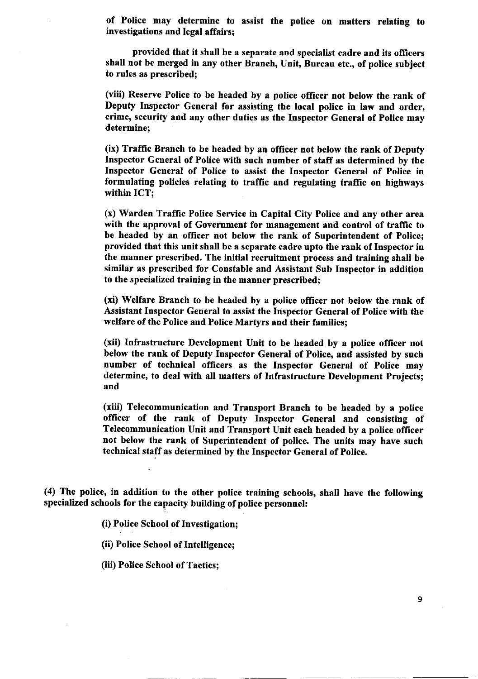of Police may determine to assist the police on matters relating to investigations and legal affairs;

provided that it shall be a separate and specialist cadre and its oflicers shall not be merged in any other Branch, Unit, Bureau etc., of police subject to rules as prescribed;

(viii) Reserve Police to be headed by a police officer not below the rank of Deputy Inspector General for assisting the local police in law and order, crime, security and any other duties as the Inspector General of Police may determine;

(ix) Traffic Branch to be headed by an officer not below the rank of Deputy Inspector General of Police with such number of staff as determined by the Inspector General of Police to assist the Inspector General of Police in formulating policies relating to traffic and regulating traffic on highways within ICT;

(x) Warden Traflic Police Service in Capital City Police and any other area with the approval of Government for management and control of traffic to be headed by an officer not below the rank of Superintendent of Police; provided that this unit shall be a separate cadre upto the rank of Inspector in the manner prescribed. The initial recruitment process and training shall be similar as prescribed for Constable and Assistant Sub Inspector in addition to the specialized training in the manner prescribed;

(xi) Welfare Branch to be headed by a police officer not below the rank of Assistant Inspector General to assist the Inspector General of Police with the welfare of the Police and Police Martyrs and their families;

(xii) Infrastructure Development Unit to be headed by a police offrcer not below the rank of Deputy Inspector General of Police, and assisted by such number of technical officers as the Inspector General of Police may determine, to deal with all matters of Infrastmcture Development Projects; and

(xiii) Telecomnunication and Transport Branch to be headed by a police officer of the rank of Deputy Inspector General and consisting of Telecommunication Unit and Transport Unit each headed by a police officer not below the rank of Superintendent of police. The units may have such technical staff as determined by the Inspector General of Police.

(4) The police, in addition to the other police training schools, shall have the foltowing specialized schools for the capacity building of police personnel:

(i) Police School of Investigation;

(ii) Police School of Intelligence;

(iii) Police School of Tactics;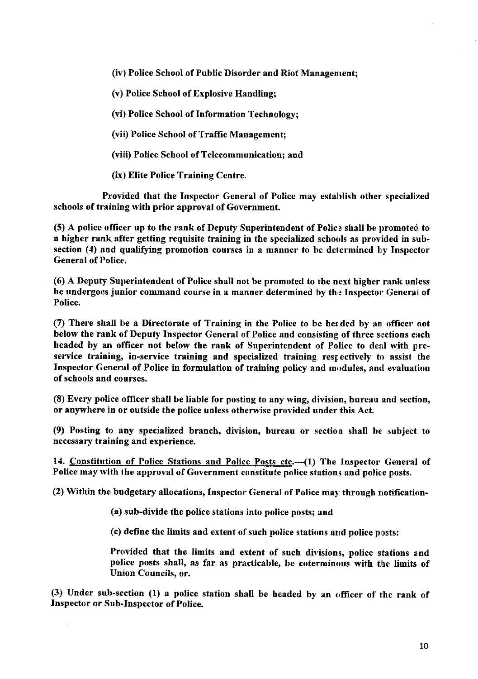(iv) Police School of Public Disorder and Riot Management;

(v) Police School of Explosive Handling;

(vi) Police School of Information Technology;

(vii) Police School of Traffic Management;

(viii) Police School of Telecommunication; and

(ix) Elite Police Training Centre.

Provided that the Inspector General of Police may establish other specialized schools of training with prior approval of Government.

(5) A police officer up to the rank of Deputy Superintendent of Police shall be promoted to a higher rank after getting requisite training in the specialized schools as provided in subsection (4) and qualifying promotion courses in a manner to be delermined by Inspector General of Police..

(6) A Deputy Superintendent of Police shall not be promoted to the next higher rank unless he undergoes junior command course in a manner determined by the Inspector General of Police,

 $(7)$  There shall be a Directorate of Training in the Police to be headed by an officer not below the rank of Deputy Inspector General of Police and consisting of three sections each headed by an officer not below the rank of Superintendent of Police to deal with preservice training, in-service training and specialized training respectively to assist the Inspector General of Police in formulation of training policy and modules, and evaluation of schools and courses.

(8) Every police officer shall be liable for posting to any wing, division, bureau and section, or anywhere in or outside the police unless otherwise provided under this Act.

(9) Posting to any specialized branch, division, bureau or section shall be subject to necessary training and experience.

14. Constitution of Police Stations and Police Posts etc.---(1) The Inspector General of Police may with the approval of Government constitute police stations and police posts.

(2) Within the budgetary allocations, Inspector General of Police may through notification-

(a) sub-divide the police stations into police posts; and

(c) define the limits and extent of such police stations and police posts:

Provided that the limits and extent of such divisions, police stations and police posts shall, as far as practicable, be coterminous with tlhe limits of Union Councils, or.

(3) Under sub-section  $(1)$  a police station shall be headed by an officer of the rank of Inspector or Sub-Inspector of Police.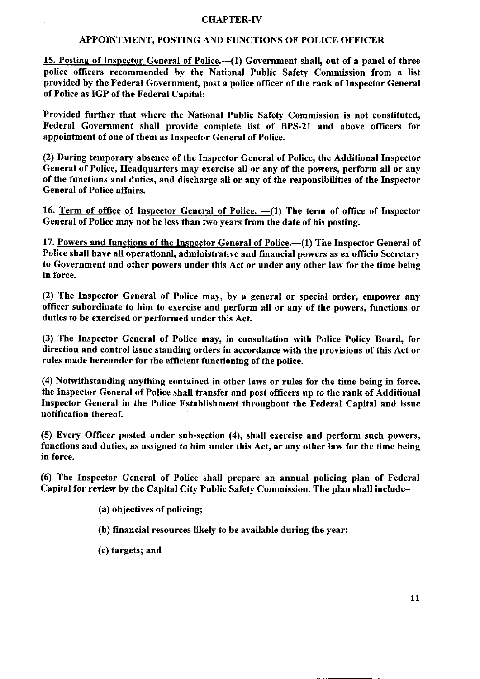### CHAPTER-IV

#### APPOINTMENT, POSTING AND FUNCTIONS OF POLICE OFFICER

15. Posting of Inspector General of Police.--- (1) Government shall, out of a panel of three police officers recommended by the National Public Safety Commission from a list provided by the Federal Government, post a police officer of the rank of Inspector General of Police as IGP of the Federal Capital:

Provided further that where the National Pubtic Safety Commission is not constituted, Federal Government shall provide complete list of BPS-21 and above officers for appointment of one of them as Inspector General of Police.

(2) During temporary absence of the Inspector General of Police, the Additional Inspector General of Police, Headquarters may exercise all or any of the powers, perform all or any of the functions and duties, and discharge all or any of the responsibilities of the Inspector General of Police affairs.

16. Term of office of Inspector General of Police. --- (1) The term of office of Inspector General of Police may not be less than two years from the date of his posting.

17. Powers and functions of the Inspector General of Police.--(l) The Inspector General of Police shall have all operational, administrative and financial powers as ex officio Secretary to Government and other powers under this Act or under any other law for the time being in force.

(2) The Inspector General of Police may, by a general or special order, empower any officer subordinate to him to exercise and perform all or any of the powers, functions or duties to be exercised or perfonned under this Act.

(3) The fnspector General of Police may, in consultation with Police Policy Board, for direction and control issue standing orders in accordance with the provisions of this Act or rules made hereunder for the efficient functioning of the police.

(4) Notwithstanding anything contained in other laws or rules for the time being in force, the Inspector General of Police shall transfer and post officers up to the rank of Additional Inspector General in the Police Establishment throughout the Federal Capital and issue notification thereof.

(5) Every Officer posted under sub-section (4), shall exercise and perform such powers, functions and duties, as assigned to him under this Act, or any other law for the time being in force.

(6) The Inspector General of Police shall prepare an annual policing plan of Federal Capital for review by the Capital City Public Safety Commission. The plan shall irclude-

- (a) objectives of policing;
- (b) financial resources likely to be available during the year;
- (c) targets; and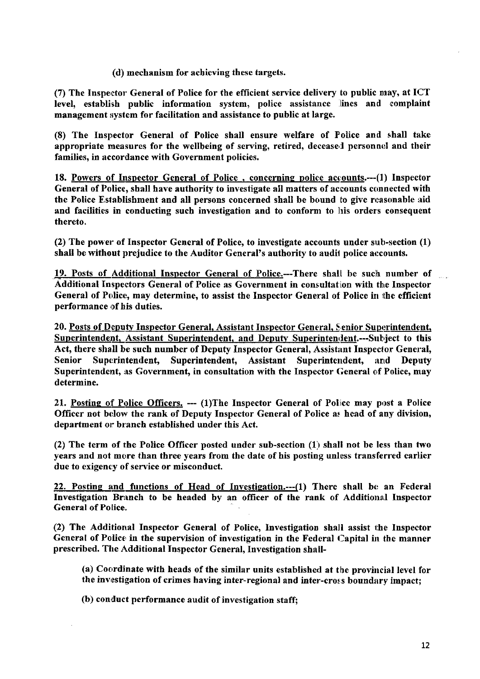(d) mechanism for achieving these targets.

(7) The Inspector General of Police for the efficient service delivery to public may, at ICT level, establish public information system, police assistance lines and complaint management system for facilitation and assistance to public at large.

(8) The Inspector General of Police shall ensure welfare of Police and shall take appropriate measures for the wellbeing of serving, retired, deceased personnel and their families, in accordance with Government policies.

18. Powers of Inspector General of Police, concerning police accounts.--- (1) Inspector General of Police, shall have authority to investigate all matters of accounts connected with the Police Establishment and all persons concerned shall be bound to give reasonable aid and facilities in conducting such investigation and to conform to his orders consequent thereto,

(2) The power of Inspector General of Police, to investigate accounts under sub-section  $(1)$ shall be without prejudice to the Auditor General's authority to audit police accounts.

19. Posts of Additional Inspector General of Police.---There shall be such number of Additional Inspectors General of Police as Government in consultation with the Inspector General of Police, may determine, to assist the Inspector General of Police in the efficient performance of his duties.

20. Posts of Deputy Inspector General, Assistant Inspector General, Senior Superintendent, Superintendent, Assistant Superintendent, and Deputy Superintendent.---Subject to this Act, there shall be such number of Deputy Inspector General, Assistant Inspector General, Senior Superintendent, Superintendent, Assistant Superintendent, and Deputy Superintendent, as Government, in consultation with the Inspector General of Police, may determine.

21. Posting of Police Officers. --- (1)The Inspector General of Police may post a Police Officer not below the rank of Deputy Inspector General of Police as head of any division, department or branch established under this Act.

(2) The term of the Police Officer posted under sub-section  $(1)$  shall not be less than two years and not more than three years from the date of his posting unless transferred earlier due to exigency of service or misconduct.

22. Posting and functions of Head of Investigation.--- (1) There shall be an Federal Investigation Branch to be headed by an officer of the rank of Additional Inspector General of Police.

(2) The Additional Inspector General of Police, Investigation shall assist the Inspector General of Police in the supervision of investigation in the Federal Capital in the manner prescribed. The Additional Inspector General, Investigation shall-

(a) Coordinate with heads of the similar units established at the provincial level for the investigation of crimes having inter-regional and inter-cross boundary impact;

(b) conduct performance audit of investigation staff;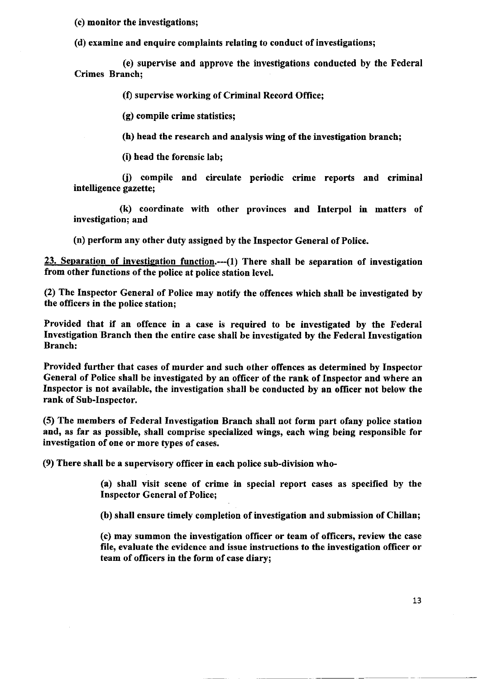(c) monitor the investigations;

(d) examine and enquire complaints relating to conduct of investigations;

(e) supervise and approve the investigations conducted by the Federal Crimes Branch;

(f) supervise working of Criminal Record Office;

(g) compile crime statistics;

(h) head the research and analysis wing of the investigation branch;

(i) head the forensic lab;

fi) compile and circulate periodic crime reports and criminal intelligence gazette;

(k) coordinate with other provinces and Interpol in matters of investigation; and

(n) perform any other duty assigned by the Inspector General of Police.

23. Separation of investigation function.--- $(1)$  There shall be separation of investigation from other functions of the police at police station level.

(2) The Inspector General of Police may notify the offences which shall be investigated by the officers in the police station;

Provided that if an offence in a case is required to be investigated by the Federal Investigation Branch then the entire case shall be investigated by the Federal Investigation Branch:

Provided further that cases of murder and such other offences as determined by Inspector General of Police shall be investigated by an officer of the rank of Inspector and where an Inspector is not available, the investigation shell be conducted by an officer not below the rank of Sub-Inspector.

(5) The members of Federal Investigation Branch shall not form part ofany police station and, as far as possible, shall comprise specialized wings, each wing being responsible for investigation of one or more types of cases.

(9) There shall be a supervisory officer in each police sub-division who-

(a) shall visit scene of crime in special report cases as specified by the Inspector Ceneral of Police;

(b) shall ensure timely completion of investigation and submission of Chillan;

(c) may suurmon the investigation oflicer or team of oflicers, review the case file, evaluate the evidence and issue instructions to the investigation officer or team of officers in the form of case diary;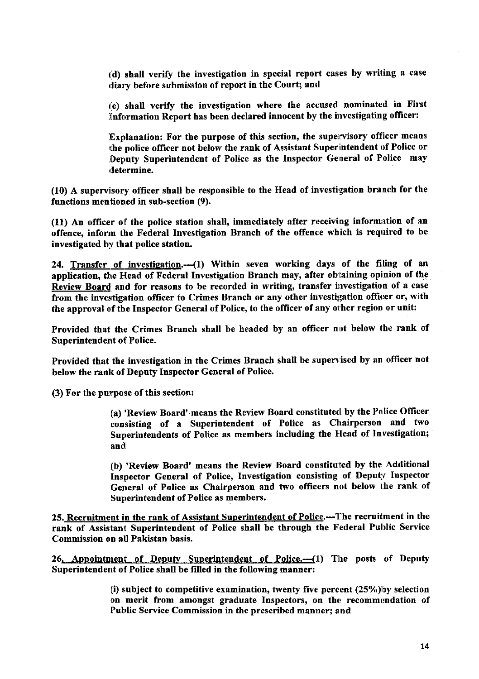t.d) shall verify the investigation in special report cases by wriling a case diary before submission of report in the Court; and

t.e) shall verify the investigation where the accused nominated in First Information Report has been declared innocent by the investigating officer:

Explanation: For the purpose of this section, the supervisory officer means the police officer not below the rank of Assistant Superintendent of Police or Deputy Superintendent of Police as the Inspector General of Police may determine.

 $(10)$  A supervisory officer shall be responsible to the Head of investigation branch for the functions mentioned in sub-section (9).

(11) An officer of the police station shall, immediately after receiving information of an offence, inform the Federal Investigation Branch of the offence which is required to be investigated by that police station.

24. Transfer of investigation.--- (1) Within seven working days of the filing of an application, the Head of Federal Investigation Branch may, after obtaining opinion of the Review Board and for reasons to be recorded in writing, transfer investigation of a case from the investigation officer to Crimes Branch or any other investigation officer or, with the approval of the Inspector General of Police, to the officer of any other region or unit:

Provided that the Crimes Branch shall be headed by an officer not below the rank of Superintendent of Police.

Provided that the investigation in the Crimes Branch shall be supervised by an officer not below the rank of Deputy Inspector General of Police.

(3) For the purpose of this section:

(a) 'Review Board' means the Review Board constituted by the Police Officer consisting of a Superintendent of Police as Chairperson and two Superintendents of Police as members including the tlead of Investigation; and

(b) 'Review Board' means the Review Board constituted by the Additional Inspector General of Police, Investigation consisting of Deputy Inspector General of Police as Chairperson and two offrcers not below the rank of Superintendent of Police as members.

25. Recruitment in the rank of Assistant Superintendent of Police.---The recruitment in the rank of Assistant Superintendent of Police shall be through the Federal Public Service Commission on all Pakistan basis.

26. Appointment of Deputy Superintendent of Police.--- (1) The posts of Deputy Superintendent of Police shall be filled in the following manner:

> (i) subject to competitive examination, twenty five percent  $(25%)$ by selection on merit from amongst graduate Inspectors, on the recommendation of Public Service Commission in the prescribed manner; and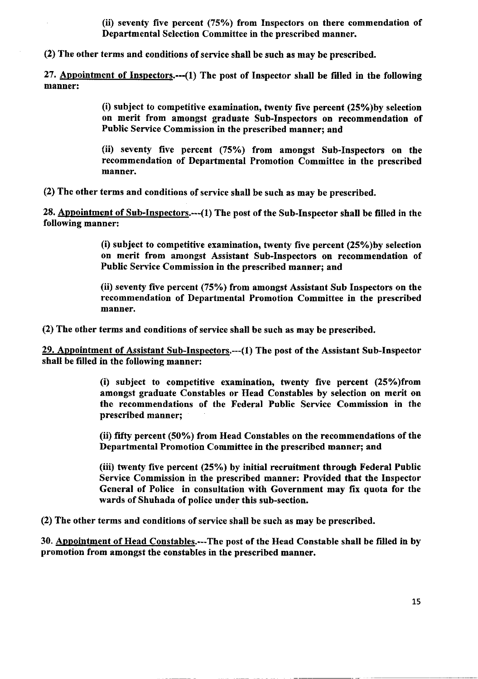(ii) seventy five percent  $(75%)$  from Inspectors on there commendation of Departmental Selection Committee in the prescribed manner.

(2) The other terms and conditions of service shall be such as may be prescribed.

27, Anpointment of Inspectors.--(1) The post of Inspector shall be filled in the following manner:

> (i) subject to competitive examination, twenty five percent QS%)by selection on merit from amongst graduate Sub-Inspectors on recommendation of Public Service Commission in the prescribed manner; and

> (ii) seventy five percent (75%) from amongst Sub-Inspectors on the recommendation of Departmental Promotion Committee in the prescribed manner.

(2) The other terms and conditions of service shall be such as may be prescribed.

28. Appointment of Sub-Inspectors.---(1) The post of the Sub-Inspector shall be filled in the following manner:

> (i) subject to competitive examination, twenty five percent  $(25%)$  by selection on merit from amongst Assistant Sub-Inspectors on recommendation of Public Service Commission in the prescribed manner; and

> (ii) seventy five percent (75%) from amongst Assistant Sub Inspectors on the recommendation of Departmental Promotion Committee in the prescribed manner.

(2) The other terms and conditions of service shall be such as may be prescribed.

29. Appointment of Assistant Sub-Inspectors.--- (1) The post of the Assistant Sub-Inspector shall be filled in the following manner:

> (i) subject to competitive examination, twenty five percent  $(25%)$  from amongst graduate Constables or Head Constables by selection on merit on the recommendations of the Federal Public Service Commission in the prescribed manner;

> (ii) fifty percent (50%) from Head Constables on the recommendations of the Departmental Promotion Committee in the prescribed manner; and

> (iii) twenty five percent (25%) by initial recruitment through Federal Public Service Commission in the prescribed manner: Provided that the Inspector General of Police in consultation with Government may fix quota for the wards of Shuhada of police under this sub-section.

(2) The other terms and conditions of service shall be such as may be prescribed.

30. Anpointment of Head Constables.---The post of the Head Constable shall be fiIled in by promotion from amongst the constables in the prescribed manner.